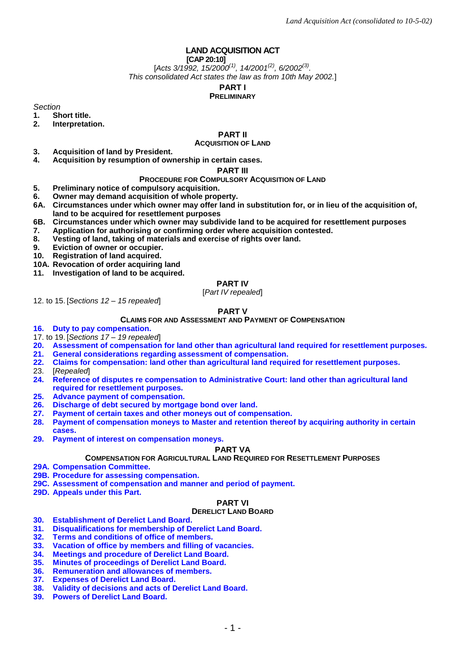# **LAND ACQUISITION ACT**

### **[CAP 20:10]**

[*Acts 3/1992, 15/2000(1), 14/2001(2), 6/2002(3) . This consolidated Act states the law as from 10th May 2002.*]

**PART I**

#### **PRELIMINARY**

*Section*

**1. Short title.**

**2. Interpretation.**

# **PART II**

# **ACQUISITION OF LAND**

- **3. Acquisition of land by President.**
- **4. Acquisition by resumption of ownership in certain cases.**

#### **PART III**

#### **PROCEDURE FOR COMPULSORY ACQUISITION OF LAND**

- **5. Preliminary notice of compulsory acquisition.**
- **6. Owner may demand acquisition of whole property.**
- **6A. Circumstances under which owner may offer land in substitution for, or in lieu of the acquisition of, land to be acquired for resettlement purposes**
- **6B. Circumstances under which owner may subdivide land to be acquired for resettlement purposes**
- **7. Application for authorising or confirming order where acquisition contested.**
- **8. Vesting of land, taking of materials and exercise of rights over land.**
- **9. Eviction of owner or occupier.**
- **10. Registration of land acquired.**
- **10A. Revocation of order acquiring land**
- **11. Investigation of land to be acquired.**

# **PART IV**

#### [*Part IV repealed*]

12. to 15. [*Sections 12 – 15 repealed*]

#### **PART V**

#### **CLAIMS FOR AND ASSESSMENT AND PAYMENT OF COMPENSATION**

- **16. Duty to pay compensation.**
- 17. to 19. [*Sections 17 – 19 repealed*]
- **20. Assessment of compensation for land other than agricultural land required for resettlement purposes.**
- **21. General considerations regarding assessment of compensation.**
- **22. Claims for compensation: land other than agricultural land required for resettlement purposes.**
- 23. [*Repealed*]
- **24. Reference of disputes re compensation to Administrative Court: land other than agricultural land required for resettlement purposes.**
- **25. Advance payment of compensation.**
- **26. Discharge of debt secured by mortgage bond over land.**
- **27. Payment of certain taxes and other moneys out of compensation.**
- **28. Payment of compensation moneys to Master and retention thereof by acquiring authority in certain cases.**
- **29. Payment of interest on compensation moneys.**

#### **PART VA**

**COMPENSATION FOR AGRICULTURAL LAND REQUIRED FOR RESETTLEMENT PURPOSES**

- **29A. Compensation Committee.**
- **29B. Procedure for assessing compensation.**
- **29C. Assessment of compensation and manner and period of payment.**
- **29D. Appeals under this Part.**

# **PART VI**

#### **DERELICT LAND BOARD**

- **30. Establishment of Derelict Land Board.**
- **31. Disqualifications for membership of Derelict Land Board.**
- **32. Terms and conditions of office of members.**
- **33. Vacation of office by members and filling of vacancies.**
- **34. Meetings and procedure of Derelict Land Board.**
- **35. Minutes of proceedings of Derelict Land Board.**
- **36. Remuneration and allowances of members.**
- **37. Expenses of Derelict Land Board.**
- **38. Validity of decisions and acts of Derelict Land Board.**
- **39. Powers of Derelict Land Board.**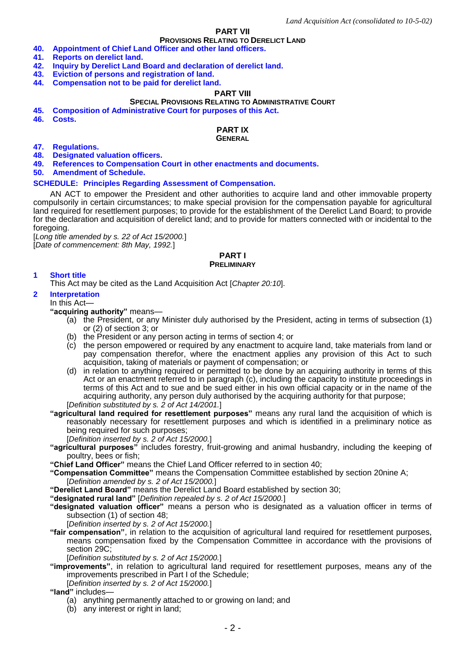# **PART VII**

# **PROVISIONS RELATING TO DERELICT LAND**

- **40. Appointment of Chief Land Officer and other land officers.**
- **41. Reports on derelict land.**
- **42. Inquiry by Derelict Land Board and declaration of derelict land.**
- **43. Eviction of persons and registration of land.**
- **44. Compensation not to be paid for derelict land.**

# **PART VIII**

#### **SPECIAL PROVISIONS RELATING TO ADMINISTRATIVE COURT**

- **45. Composition of Administrative Court for purposes of this Act.**
- **46. Costs.**

# **PART IX**

#### **GENERAL**

- **47. Regulations.**
- **48. Designated valuation officers.**
- **49. References to Compensation Court in other enactments and documents.**

**50. Amendment of Schedule.**

#### **SCHEDULE: Principles Regarding Assessment of Compensation.**

AN ACT to empower the President and other authorities to acquire land and other immovable property compulsorily in certain circumstances; to make special provision for the compensation payable for agricultural land required for resettlement purposes; to provide for the establishment of the Derelict Land Board; to provide for the declaration and acquisition of derelict land; and to provide for matters connected with or incidental to the foregoing.

[*Long title amended by s. 22 of Act 15/2000.*] [*Date of commencement: 8th May, 1992.*]

### **PART I PRELIMINARY**

# **1 Short title**

This Act may be cited as the Land Acquisition Act [*Chapter 20:10*].

# **2 Interpretation**

# In this Act—

- **"acquiring authority"** means—
	- (a) the President, or any Minister duly authorised by the President, acting in terms of subsection (1) or (2) of section 3; or
	- (b) the President or any person acting in terms of section 4; or
	- (c) the person empowered or required by any enactment to acquire land, take materials from land or pay compensation therefor, where the enactment applies any provision of this Act to such acquisition, taking of materials or payment of compensation; or
	- (d) in relation to anything required or permitted to be done by an acquiring authority in terms of this Act or an enactment referred to in paragraph (c), including the capacity to institute proceedings in terms of this Act and to sue and be sued either in his own official capacity or in the name of the acquiring authority, any person duly authorised by the acquiring authority for that purpose; [*Definition substituted by s. 2 of Act 14/2001.*]
- **"agricultural land required for resettlement purposes"** means any rural land the acquisition of which is reasonably necessary for resettlement purposes and which is identified in a preliminary notice as being required for such purposes;
	- [*Definition inserted by s. 2 of Act 15/2000.*]
- **"agricultural purposes"** includes forestry, fruit-growing and animal husbandry, including the keeping of poultry, bees or fish;
- **"Chief Land Officer"** means the Chief Land Officer referred to in section 40;
- **"Compensation Committee"** means the Compensation Committee established by section 20nine A; [*Definition amended by s. 2 of Act 15/2000.*]
- **"Derelict Land Board"** means the Derelict Land Board established by section 30;
- **"designated rural land"** [*Definition repealed by s. 2 of Act 15/2000.*]
- **"designated valuation officer"** means a person who is designated as a valuation officer in terms of subsection (1) of section 48;
	- [*Definition inserted by s. 2 of Act 15/2000.*]
- **"fair compensation"**, in relation to the acquisition of agricultural land required for resettlement purposes, means compensation fixed by the Compensation Committee in accordance with the provisions of section 29C;

[*Definition substituted by s. 2 of Act 15/2000.*]

- **"improvements"**, in relation to agricultural land required for resettlement purposes, means any of the improvements prescribed in Part I of the Schedule;
	- [*Definition inserted by s. 2 of Act 15/2000.*]

**"land"** includes—

- (a) anything permanently attached to or growing on land; and
- (b) any interest or right in land;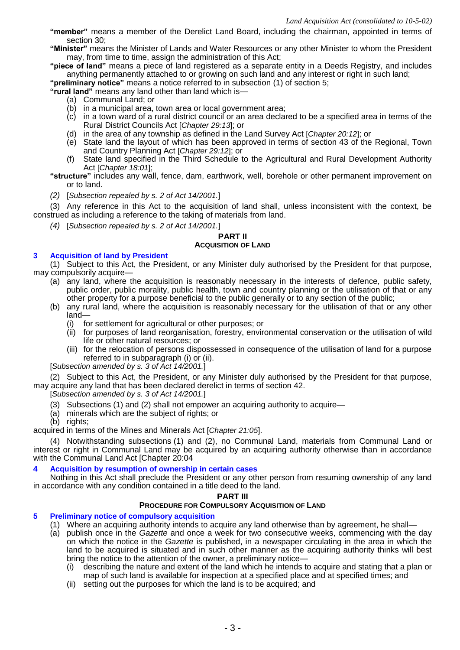- **"member"** means a member of the Derelict Land Board, including the chairman, appointed in terms of section 30;
- **"Minister"** means the Minister of Lands and Water Resources or any other Minister to whom the President may, from time to time, assign the administration of this Act;

**"piece of land"** means a piece of land registered as a separate entity in a Deeds Registry, and includes anything permanently attached to or growing on such land and any interest or right in such land;

**"preliminary notice"** means a notice referred to in subsection (1) of section 5;

**"rural land"** means any land other than land which is—

- (a) Communal Land; or
- (b) in a municipal area, town area or local government area;
- (c) in a town ward of a rural district council or an area declared to be a specified area in terms of the Rural District Councils Act [*Chapter 29:13*]; or
- (d) in the area of any township as defined in the Land Survey Act [*Chapter 20:12*]; or
- (e) State land the layout of which has been approved in terms of section 43 of the Regional, Town and Country Planning Act [*Chapter 29:12*]; or
- (f) State land specified in the Third Schedule to the Agricultural and Rural Development Authority Act [*Chapter 18:01*];
- **"structure"** includes any wall, fence, dam, earthwork, well, borehole or other permanent improvement on or to land.
- *(2)* [*Subsection repealed by s. 2 of Act 14/2001.*]

(3) Any reference in this Act to the acquisition of land shall, unless inconsistent with the context, be construed as including a reference to the taking of materials from land.

*(4)* [*Subsection repealed by s. 2 of Act 14/2001.*]

# **PART II**

# **ACQUISITION OF LAND**

# **3 Acquisition of land by President**

(1) Subject to this Act, the President, or any Minister duly authorised by the President for that purpose, may compulsorily acquire—

- (a) any land, where the acquisition is reasonably necessary in the interests of defence, public safety, public order, public morality, public health, town and country planning or the utilisation of that or any other property for a purpose beneficial to the public generally or to any section of the public;
- (b) any rural land, where the acquisition is reasonably necessary for the utilisation of that or any other land—
	- (i) for settlement for agricultural or other purposes; or
	- (ii) for purposes of land reorganisation, forestry, environmental conservation or the utilisation of wild life or other natural resources; or
	- (iii) for the relocation of persons dispossessed in consequence of the utilisation of land for a purpose referred to in subparagraph (i) or (ii).

[*Subsection amended by s. 3 of Act 14/2001.*]

(2) Subject to this Act, the President, or any Minister duly authorised by the President for that purpose, may acquire any land that has been declared derelict in terms of section 42.

[*Subsection amended by s. 3 of Act 14/2001.*]

- (3) Subsections (1) and (2) shall not empower an acquiring authority to acquire—
- (a) minerals which are the subject of rights; or
- (b) rights;

acquired in terms of the Mines and Minerals Act [*Chapter 21:05*].

(4) Notwithstanding subsections (1) and (2), no Communal Land, materials from Communal Land or interest or right in Communal Land may be acquired by an acquiring authority otherwise than in accordance with the Communal Land Act [Chapter 20:04

# **4 Acquisition by resumption of ownership in certain cases**

Nothing in this Act shall preclude the President or any other person from resuming ownership of any land in accordance with any condition contained in a title deed to the land.

#### **PART III**

### **PROCEDURE FOR COMPULSORY ACQUISITION OF LAND**

# **5 Preliminary notice of compulsory acquisition**

- (1) Where an acquiring authority intends to acquire any land otherwise than by agreement, he shall—
- (a) publish once in the *Gazette* and once a week for two consecutive weeks, commencing with the day on which the notice in the *Gazette* is published, in a newspaper circulating in the area in which the land to be acquired is situated and in such other manner as the acquiring authority thinks will best bring the notice to the attention of the owner, a preliminary notice—
	- (i) describing the nature and extent of the land which he intends to acquire and stating that a plan or map of such land is available for inspection at a specified place and at specified times; and
	- (ii) setting out the purposes for which the land is to be acquired; and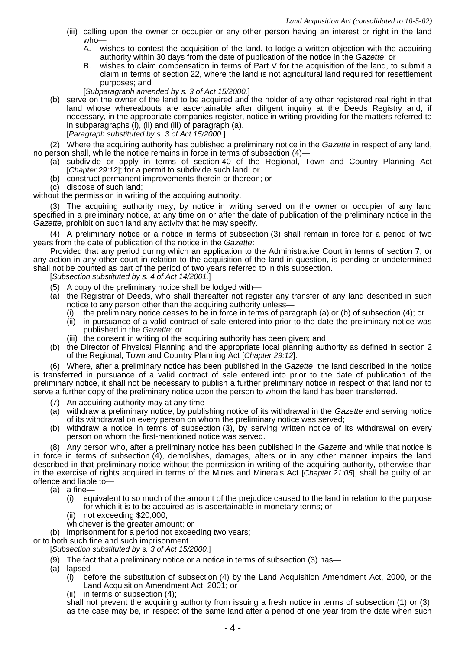- (iii) calling upon the owner or occupier or any other person having an interest or right in the land who—
	- A. wishes to contest the acquisition of the land, to lodge a written objection with the acquiring authority within 30 days from the date of publication of the notice in the *Gazette*; or
	- B. wishes to claim compensation in terms of Part V for the acquisition of the land, to submit a claim in terms of section 22, where the land is not agricultural land required for resettlement purposes; and
	- [*Subparagraph amended by s. 3 of Act 15/2000.*]
- (b) serve on the owner of the land to be acquired and the holder of any other registered real right in that land whose whereabouts are ascertainable after diligent inquiry at the Deeds Registry and, if necessary, in the appropriate companies register, notice in writing providing for the matters referred to in subparagraphs (i), (ii) and (iii) of paragraph (a).

[*Paragraph substituted by s. 3 of Act 15/2000.*]

(2) Where the acquiring authority has published a preliminary notice in the *Gazette* in respect of any land, no person shall, while the notice remains in force in terms of subsection (4)—

- (a) subdivide or apply in terms of section 40 of the Regional, Town and Country Planning Act [*Chapter 29:12*]; for a permit to subdivide such land; or
- (b) construct permanent improvements therein or thereon; or
- (c) dispose of such land;

without the permission in writing of the acquiring authority.

(3) The acquiring authority may, by notice in writing served on the owner or occupier of any land specified in a preliminary notice, at any time on or after the date of publication of the preliminary notice in the *Gazette*, prohibit on such land any activity that he may specify.

(4) A preliminary notice or a notice in terms of subsection (3) shall remain in force for a period of two years from the date of publication of the notice in the *Gazette*:

Provided that any period during which an application to the Administrative Court in terms of section 7, or any action in any other court in relation to the acquisition of the land in question, is pending or undetermined shall not be counted as part of the period of two years referred to in this subsection.

[*Subsection substituted by s. 4 of Act 14/2001.*]

- (5) A copy of the preliminary notice shall be lodged with—
- (a) the Registrar of Deeds, who shall thereafter not register any transfer of any land described in such notice to any person other than the acquiring authority unless—
	- (i) the preliminary notice ceases to be in force in terms of paragraph (a) or (b) of subsection (4); or
	- (ii) in pursuance of a valid contract of sale entered into prior to the date the preliminary notice was published in the *Gazette*; or
	- (iii) the consent in writing of the acquiring authority has been given; and
- (b) the Director of Physical Planning and the appropriate local planning authority as defined in section 2 of the Regional, Town and Country Planning Act [*Chapter 29:12*].

(6) Where, after a preliminary notice has been published in the *Gazette*, the land described in the notice is transferred in pursuance of a valid contract of sale entered into prior to the date of publication of the preliminary notice, it shall not be necessary to publish a further preliminary notice in respect of that land nor to serve a further copy of the preliminary notice upon the person to whom the land has been transferred.

- (7) An acquiring authority may at any time—
- (a) withdraw a preliminary notice, by publishing notice of its withdrawal in the *Gazette* and serving notice of its withdrawal on every person on whom the preliminary notice was served;
- (b) withdraw a notice in terms of subsection (3), by serving written notice of its withdrawal on every person on whom the first-mentioned notice was served.

(8) Any person who, after a preliminary notice has been published in the *Gazette* and while that notice is in force in terms of subsection (4), demolishes, damages, alters or in any other manner impairs the land described in that preliminary notice without the permission in writing of the acquiring authority, otherwise than in the exercise of rights acquired in terms of the Mines and Minerals Act [*Chapter 21:05*], shall be guilty of an offence and liable to—

- (a) a fine—
	- (i) equivalent to so much of the amount of the prejudice caused to the land in relation to the purpose for which it is to be acquired as is ascertainable in monetary terms; or
	- (ii) not exceeding \$20,000;
	- whichever is the greater amount; or
- (b) imprisonment for a period not exceeding two years;

or to both such fine and such imprisonment.

[*Subsection substituted by s. 3 of Act 15/2000.*]

- (9) The fact that a preliminary notice or a notice in terms of subsection (3) has—
- (a) lapsed—
	- (i) before the substitution of subsection (4) by the Land Acquisition Amendment Act, 2000, or the Land Acquisition Amendment Act, 2001; or
	- (ii) in terms of subsection (4);

shall not prevent the acquiring authority from issuing a fresh notice in terms of subsection (1) or (3), as the case may be, in respect of the same land after a period of one year from the date when such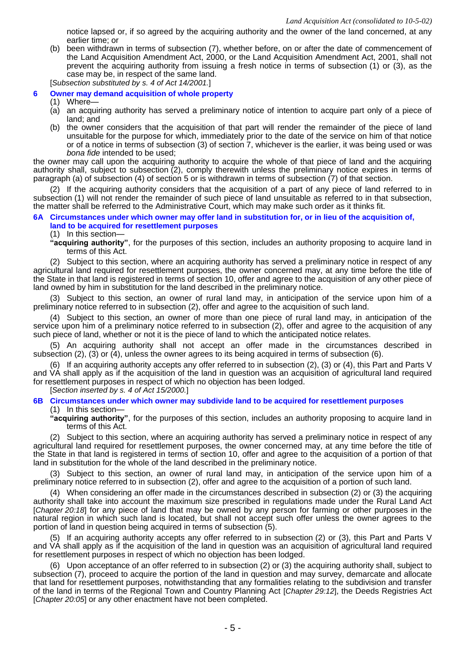notice lapsed or, if so agreed by the acquiring authority and the owner of the land concerned, at any earlier time; or

(b) been withdrawn in terms of subsection (7), whether before, on or after the date of commencement of the Land Acquisition Amendment Act, 2000, or the Land Acquisition Amendment Act, 2001, shall not prevent the acquiring authority from issuing a fresh notice in terms of subsection (1) or (3), as the case may be, in respect of the same land.

[*Subsection substituted by s. 4 of Act 14/2001.*]

#### **6 Owner may demand acquisition of whole property**

(1) Where—

- (a) an acquiring authority has served a preliminary notice of intention to acquire part only of a piece of land; and
- (b) the owner considers that the acquisition of that part will render the remainder of the piece of land unsuitable for the purpose for which, immediately prior to the date of the service on him of that notice or of a notice in terms of subsection (3) of section 7, whichever is the earlier, it was being used or was *bona fide* intended to be used;

the owner may call upon the acquiring authority to acquire the whole of that piece of land and the acquiring authority shall, subject to subsection (2), comply therewith unless the preliminary notice expires in terms of paragraph (a) of subsection (4) of section 5 or is withdrawn in terms of subsection (7) of that section.

(2) If the acquiring authority considers that the acquisition of a part of any piece of land referred to in subsection (1) will not render the remainder of such piece of land unsuitable as referred to in that subsection, the matter shall be referred to the Administrative Court, which may make such order as it thinks fit.

#### **6A Circumstances under which owner may offer land in substitution for, or in lieu of the acquisition of, land to be acquired for resettlement purposes**

(1) In this section—

**"acquiring authority"**, for the purposes of this section, includes an authority proposing to acquire land in terms of this Act.

(2) Subject to this section, where an acquiring authority has served a preliminary notice in respect of any agricultural land required for resettlement purposes, the owner concerned may, at any time before the title of the State in that land is registered in terms of section 10, offer and agree to the acquisition of any other piece of land owned by him in substitution for the land described in the preliminary notice.

(3) Subject to this section, an owner of rural land may, in anticipation of the service upon him of a preliminary notice referred to in subsection (2), offer and agree to the acquisition of such land.

(4) Subject to this section, an owner of more than one piece of rural land may, in anticipation of the service upon him of a preliminary notice referred to in subsection (2), offer and agree to the acquisition of any such piece of land, whether or not it is the piece of land to which the anticipated notice relates.

(5) An acquiring authority shall not accept an offer made in the circumstances described in subsection (2), (3) or (4), unless the owner agrees to its being acquired in terms of subsection (6).

(6) If an acquiring authority accepts any offer referred to in subsection (2), (3) or (4), this Part and Parts V and VA shall apply as if the acquisition of the land in question was an acquisition of agricultural land required for resettlement purposes in respect of which no objection has been lodged.

[*Section inserted by s. 4 of Act 15/2000.*]

**6B Circumstances under which owner may subdivide land to be acquired for resettlement purposes**

(1) In this section—

**"acquiring authority"**, for the purposes of this section, includes an authority proposing to acquire land in terms of this Act.

(2) Subject to this section, where an acquiring authority has served a preliminary notice in respect of any agricultural land required for resettlement purposes, the owner concerned may, at any time before the title of the State in that land is registered in terms of section 10, offer and agree to the acquisition of a portion of that land in substitution for the whole of the land described in the preliminary notice.

(3) Subject to this section, an owner of rural land may, in anticipation of the service upon him of a preliminary notice referred to in subsection (2), offer and agree to the acquisition of a portion of such land.

(4) When considering an offer made in the circumstances described in subsection (2) or (3) the acquiring authority shall take into account the maximum size prescribed in regulations made under the Rural Land Act [*Chapter 20:18*] for any piece of land that may be owned by any person for farming or other purposes in the natural region in which such land is located, but shall not accept such offer unless the owner agrees to the portion of land in question being acquired in terms of subsection (5).

(5) If an acquiring authority accepts any offer referred to in subsection (2) or (3), this Part and Parts V and VA shall apply as if the acquisition of the land in question was an acquisition of agricultural land required for resettlement purposes in respect of which no objection has been lodged.

(6) Upon acceptance of an offer referred to in subsection (2) or (3) the acquiring authority shall, subject to subsection (7), proceed to acquire the portion of the land in question and may survey, demarcate and allocate that land for resettlement purposes, notwithstanding that any formalities relating to the subdivision and transfer of the land in terms of the Regional Town and Country Planning Act [*Chapter 29:12*], the Deeds Registries Act [*Chapter 20:05*] or any other enactment have not been completed.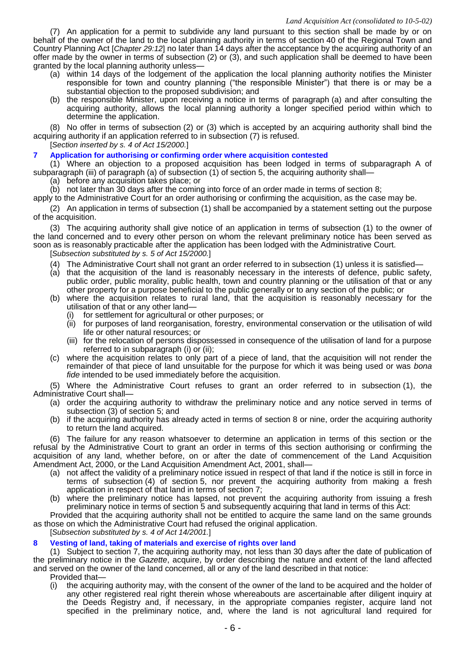(7) An application for a permit to subdivide any land pursuant to this section shall be made by or on behalf of the owner of the land to the local planning authority in terms of section 40 of the Regional Town and Country Planning Act [*Chapter 29:12*] no later than 14 days after the acceptance by the acquiring authority of an offer made by the owner in terms of subsection (2) or (3), and such application shall be deemed to have been granted by the local planning authority unless—

- (a) within 14 days of the lodgement of the application the local planning authority notifies the Minister responsible for town and country planning ("the responsible Minister") that there is or may be a substantial objection to the proposed subdivision; and
- (b) the responsible Minister, upon receiving a notice in terms of paragraph (a) and after consulting the acquiring authority, allows the local planning authority a longer specified period within which to determine the application.

(8) No offer in terms of subsection (2) or (3) which is accepted by an acquiring authority shall bind the acquiring authority if an application referred to in subsection (7) is refused.

[*Section inserted by s. 4 of Act 15/2000.*]

### **7 Application for authorising or confirming order where acquisition contested**

(1) Where an objection to a proposed acquisition has been lodged in terms of subparagraph A of subparagraph (iii) of paragraph (a) of subsection (1) of section 5, the acquiring authority shall—

- (a) before any acquisition takes place; or
- (b) not later than 30 days after the coming into force of an order made in terms of section 8;

apply to the Administrative Court for an order authorising or confirming the acquisition, as the case may be.

(2) An application in terms of subsection (1) shall be accompanied by a statement setting out the purpose of the acquisition.

(3) The acquiring authority shall give notice of an application in terms of subsection (1) to the owner of the land concerned and to every other person on whom the relevant preliminary notice has been served as soon as is reasonably practicable after the application has been lodged with the Administrative Court.

- [*Subsection substituted by s. 5 of Act 15/2000.*]
- (4) The Administrative Court shall not grant an order referred to in subsection (1) unless it is satisfied—
- (a) that the acquisition of the land is reasonably necessary in the interests of defence, public safety, public order, public morality, public health, town and country planning or the utilisation of that or any other property for a purpose beneficial to the public generally or to any section of the public; or
- (b) where the acquisition relates to rural land, that the acquisition is reasonably necessary for the utilisation of that or any other land—
	- (i) for settlement for agricultural or other purposes; or
	- (ii) for purposes of land reorganisation, forestry, environmental conservation or the utilisation of wild life or other natural resources; or
	- (iii) for the relocation of persons dispossessed in consequence of the utilisation of land for a purpose referred to in subparagraph (i) or (ii);
- (c) where the acquisition relates to only part of a piece of land, that the acquisition will not render the remainder of that piece of land unsuitable for the purpose for which it was being used or was *bona fide* intended to be used immediately before the acquisition.

(5) Where the Administrative Court refuses to grant an order referred to in subsection (1), the Administrative Court shall—

- (a) order the acquiring authority to withdraw the preliminary notice and any notice served in terms of subsection (3) of section 5; and
- (b) if the acquiring authority has already acted in terms of section 8 or nine, order the acquiring authority to return the land acquired.

(6) The failure for any reason whatsoever to determine an application in terms of this section or the refusal by the Administrative Court to grant an order in terms of this section authorising or confirming the acquisition of any land, whether before, on or after the date of commencement of the Land Acquisition Amendment Act, 2000, or the Land Acquisition Amendment Act, 2001, shall—

- (a) not affect the validity of a preliminary notice issued in respect of that land if the notice is still in force in terms of subsection (4) of section 5, nor prevent the acquiring authority from making a fresh application in respect of that land in terms of section 7;
- (b) where the preliminary notice has lapsed, not prevent the acquiring authority from issuing a fresh preliminary notice in terms of section 5 and subsequently acquiring that land in terms of this Act:

Provided that the acquiring authority shall not be entitled to acquire the same land on the same grounds as those on which the Administrative Court had refused the original application.

[*Subsection substituted by s. 4 of Act 14/2001.*]

# **8 Vesting of land, taking of materials and exercise of rights over land**

(1) Subject to section 7, the acquiring authority may, not less than 30 days after the date of publication of the preliminary notice in the *Gazette*, acquire, by order describing the nature and extent of the land affected and served on the owner of the land concerned, all or any of the land described in that notice:

Provided that—

(i) the acquiring authority may, with the consent of the owner of the land to be acquired and the holder of any other registered real right therein whose whereabouts are ascertainable after diligent inquiry at the Deeds Registry and, if necessary, in the appropriate companies register, acquire land not specified in the preliminary notice, and, where the land is not agricultural land required for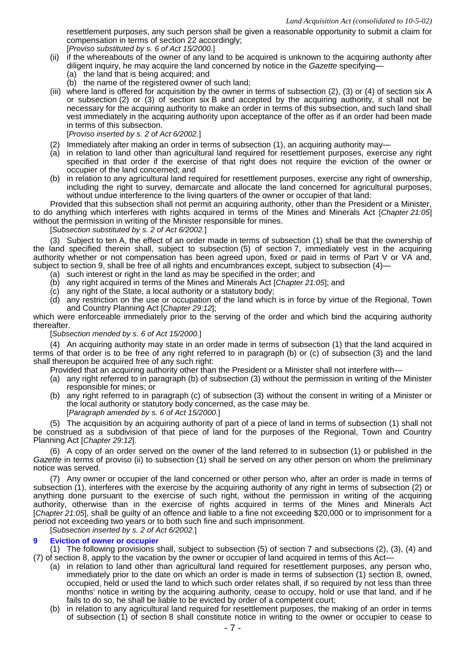resettlement purposes, any such person shall be given a reasonable opportunity to submit a claim for compensation in terms of section 22 accordingly; [*Proviso substituted by s. 6 of Act 15/2000.*]

- (ii) if the whereabouts of the owner of any land to be acquired is unknown to the acquiring authority after diligent inquiry, he may acquire the land concerned by notice in the *Gazette* specifying—
	- (a) the land that is being acquired; and
	- (b) the name of the registered owner of such land;
- (iii) where land is offered for acquisition by the owner in terms of subsection (2), (3) or (4) of section six A or subsection (2) or (3) of section six B and accepted by the acquiring authority, it shall not be necessary for the acquiring authority to make an order in terms of this subsection, and such land shall vest immediately in the acquiring authority upon acceptance of the offer as if an order had been made in terms of this subsection.

[*Proviso inserted by s. 2 of Act 6/2002.*]

- (2) Immediately after making an order in terms of subsection (1), an acquiring authority may—
- (a) in relation to land other than agricultural land required for resettlement purposes, exercise any right specified in that order if the exercise of that right does not require the eviction of the owner or occupier of the land concerned; and
- (b) in relation to any agricultural land required for resettlement purposes, exercise any right of ownership, including the right to survey, demarcate and allocate the land concerned for agricultural purposes, without undue interference to the living quarters of the owner or occupier of that land:

Provided that this subsection shall not permit an acquiring authority, other than the President or a Minister, to do anything which interferes with rights acquired in terms of the Mines and Minerals Act [*Chapter 21:05*] without the permission in writing of the Minister responsible for mines.

[*Subsection substituted by s. 2 of Act 6/2002.*]

(3) Subject to ten A, the effect of an order made in terms of subsection (1) shall be that the ownership of the land specified therein shall, subject to subsection (5) of section 7, immediately vest in the acquiring authority whether or not compensation has been agreed upon, fixed or paid in terms of Part V or VA and, subject to section 9, shall be free of all rights and encumbrances except, subject to subsection (4)—

- (a) such interest or right in the land as may be specified in the order; and
- (b) any right acquired in terms of the Mines and Minerals Act [*Chapter 21:05*]; and
- (c) any right of the State, a local authority or a statutory body;
- (d) any restriction on the use or occupation of the land which is in force by virtue of the Regional, Town and Country Planning Act [*Chapter 29:12*];

which were enforceable immediately prior to the serving of the order and which bind the acquiring authority thereafter.

[*Subsection mended by s. 6 of Act 15/2000.*]

(4) An acquiring authority may state in an order made in terms of subsection (1) that the land acquired in terms of that order is to be free of any right referred to in paragraph (b) or (c) of subsection (3) and the land shall thereupon be acquired free of any such right:

Provided that an acquiring authority other than the President or a Minister shall not interfere with—

- (a) any right referred to in paragraph (b) of subsection (3) without the permission in writing of the Minister responsible for mines; or
- (b) any right referred to in paragraph (c) of subsection (3) without the consent in writing of a Minister or the local authority or statutory body concerned, as the case may be. [*Paragraph amended by s. 6 of Act 15/2000.*]

(5) The acquisition by an acquiring authority of part of a piece of land in terms of subsection (1) shall not be construed as a subdivision of that piece of land for the purposes of the Regional, Town and Country Planning Act [*Chapter 29:12*].

(6) A copy of an order served on the owner of the land referred to in subsection (1) or published in the *Gazette* in terms of proviso (ii) to subsection (1) shall be served on any other person on whom the preliminary notice was served.

(7) Any owner or occupier of the land concerned or other person who, after an order is made in terms of subsection (1), interferes with the exercise by the acquiring authority of any right in terms of subsection (2) or anything done pursuant to the exercise of such right, without the permission in writing of the acquiring authority, otherwise than in the exercise of rights acquired in terms of the Mines and Minerals Act [*Chapter 21:05*], shall be guilty of an offence and liable to a fine not exceeding \$20,000 or to imprisonment for a period not exceeding two years or to both such fine and such imprisonment.

[*Subsection inserted by s. 2 of Act 6/2002.*]

#### **9 Eviction of owner or occupier**

(1) The following provisions shall, subject to subsection (5) of section 7 and subsections (2), (3), (4) and (7) of section 8, apply to the vacation by the owner or occupier of land acquired in terms of this Act—

- (a) in relation to land other than agricultural land required for resettlement purposes, any person who, immediately prior to the date on which an order is made in terms of subsection (1) section 8, owned, occupied, held or used the land to which such order relates shall, if so required by not less than three months' notice in writing by the acquiring authority, cease to occupy, hold or use that land, and if he fails to do so, he shall be liable to be evicted by order of a competent court;
- (b) in relation to any agricultural land required for resettlement purposes, the making of an order in terms of subsection (1) of section 8 shall constitute notice in writing to the owner or occupier to cease to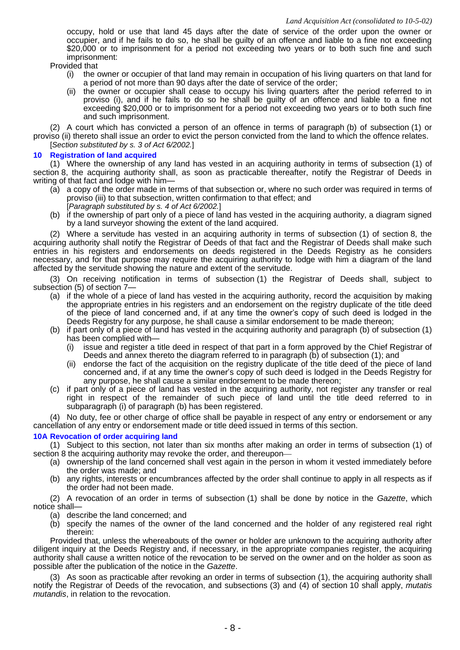occupy, hold or use that land 45 days after the date of service of the order upon the owner or occupier, and if he fails to do so, he shall be guilty of an offence and liable to a fine not exceeding \$20,000 or to imprisonment for a period not exceeding two years or to both such fine and such imprisonment:

Provided that

- (i) the owner or occupier of that land may remain in occupation of his living quarters on that land for a period of not more than 90 days after the date of service of the order;
- (ii) the owner or occupier shall cease to occupy his living quarters after the period referred to in proviso (i), and if he fails to do so he shall be guilty of an offence and liable to a fine not exceeding \$20,000 or to imprisonment for a period not exceeding two years or to both such fine and such imprisonment.

(2) A court which has convicted a person of an offence in terms of paragraph (b) of subsection (1) or proviso (ii) thereto shall issue an order to evict the person convicted from the land to which the offence relates. [*Section substituted by s. 3 of Act 6/2002.*]

# **10 Registration of land acquired**

(1) Where the ownership of any land has vested in an acquiring authority in terms of subsection (1) of section 8, the acquiring authority shall, as soon as practicable thereafter, notify the Registrar of Deeds in writing of that fact and lodge with him—

- (a) a copy of the order made in terms of that subsection or, where no such order was required in terms of proviso (iii) to that subsection, written confirmation to that effect; and [*Paragraph substituted by s. 4 of Act 6/2002.*]
- (b) if the ownership of part only of a piece of land has vested in the acquiring authority, a diagram signed by a land surveyor showing the extent of the land acquired.

(2) Where a servitude has vested in an acquiring authority in terms of subsection (1) of section 8, the acquiring authority shall notify the Registrar of Deeds of that fact and the Registrar of Deeds shall make such entries in his registers and endorsements on deeds registered in the Deeds Registry as he considers necessary, and for that purpose may require the acquiring authority to lodge with him a diagram of the land affected by the servitude showing the nature and extent of the servitude.

(3) On receiving notification in terms of subsection (1) the Registrar of Deeds shall, subject to subsection (5) of section 7—

- (a) if the whole of a piece of land has vested in the acquiring authority, record the acquisition by making the appropriate entries in his registers and an endorsement on the registry duplicate of the title deed of the piece of land concerned and, if at any time the owner's copy of such deed is lodged in the Deeds Registry for any purpose, he shall cause a similar endorsement to be made thereon;
- (b) if part only of a piece of land has vested in the acquiring authority and paragraph (b) of subsection (1) has been complied with—
	- (i) issue and register a title deed in respect of that part in a form approved by the Chief Registrar of Deeds and annex thereto the diagram referred to in paragraph (b) of subsection (1); and
	- (ii) endorse the fact of the acquisition on the registry duplicate of the title deed of the piece of land concerned and, if at any time the owner's copy of such deed is lodged in the Deeds Registry for any purpose, he shall cause a similar endorsement to be made thereon;
- (c) if part only of a piece of land has vested in the acquiring authority, not register any transfer or real right in respect of the remainder of such piece of land until the title deed referred to in subparagraph (i) of paragraph (b) has been registered.

(4) No duty, fee or other charge of office shall be payable in respect of any entry or endorsement or any cancellation of any entry or endorsement made or title deed issued in terms of this section.

# **10A Revocation of order acquiring land**

(1) Subject to this section, not later than six months after making an order in terms of subsection (1) of section 8 the acquiring authority may revoke the order, and thereupon-

- (a) ownership of the land concerned shall vest again in the person in whom it vested immediately before the order was made; and
- (b) any rights, interests or encumbrances affected by the order shall continue to apply in all respects as if the order had not been made.

(2) A revocation of an order in terms of subsection (1) shall be done by notice in the *Gazette*, which notice shall—

- (a) describe the land concerned; and
- (b) specify the names of the owner of the land concerned and the holder of any registered real right therein:

Provided that, unless the whereabouts of the owner or holder are unknown to the acquiring authority after diligent inquiry at the Deeds Registry and, if necessary, in the appropriate companies register, the acquiring authority shall cause a written notice of the revocation to be served on the owner and on the holder as soon as possible after the publication of the notice in the *Gazette*.

(3) As soon as practicable after revoking an order in terms of subsection (1), the acquiring authority shall notify the Registrar of Deeds of the revocation, and subsections (3) and (4) of section 10 shall apply, *mutatis mutandis*, in relation to the revocation.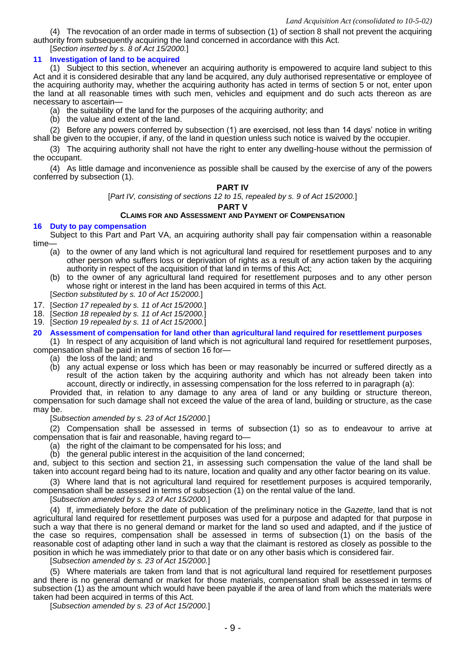(4) The revocation of an order made in terms of subsection (1) of section 8 shall not prevent the acquiring authority from subsequently acquiring the land concerned in accordance with this Act.

[*Section inserted by s. 8 of Act 15/2000.*]

# **11 Investigation of land to be acquired**

(1) Subject to this section, whenever an acquiring authority is empowered to acquire land subject to this Act and it is considered desirable that any land be acquired, any duly authorised representative or employee of the acquiring authority may, whether the acquiring authority has acted in terms of section 5 or not, enter upon the land at all reasonable times with such men, vehicles and equipment and do such acts thereon as are necessary to ascertain—

(a) the suitability of the land for the purposes of the acquiring authority; and

(b) the value and extent of the land.

(2) Before any powers conferred by subsection (1) are exercised, not less than 14 days' notice in writing shall be given to the occupier, if any, of the land in question unless such notice is waived by the occupier.

(3) The acquiring authority shall not have the right to enter any dwelling-house without the permission of the occupant.

(4) As little damage and inconvenience as possible shall be caused by the exercise of any of the powers conferred by subsection (1).

# **PART IV**

[*Part IV, consisting of sections 12 to 15, repealed by s. 9 of Act 15/2000.*]

#### **PART V**

# **CLAIMS FOR AND ASSESSMENT AND PAYMENT OF COMPENSATION**

#### **16 Duty to pay compensation**

Subject to this Part and Part VA, an acquiring authority shall pay fair compensation within a reasonable time—

- (a) to the owner of any land which is not agricultural land required for resettlement purposes and to any other person who suffers loss or deprivation of rights as a result of any action taken by the acquiring authority in respect of the acquisition of that land in terms of this Act;
- (b) to the owner of any agricultural land required for resettlement purposes and to any other person whose right or interest in the land has been acquired in terms of this Act.
- [*Section substituted by s. 10 of Act 15/2000.*]
- 17. [*Section 17 repealed by s. 11 of Act 15/2000.*]
- 18. [*Section 18 repealed by s. 11 of Act 15/2000.*]
- 19. [*Section 19 repealed by s. 11 of Act 15/2000.*]

# **20 Assessment of compensation for land other than agricultural land required for resettlement purposes**

(1) In respect of any acquisition of land which is not agricultural land required for resettlement purposes, compensation shall be paid in terms of section 16 for—

- (a) the loss of the land; and
	- (b) any actual expense or loss which has been or may reasonably be incurred or suffered directly as a result of the action taken by the acquiring authority and which has not already been taken into account, directly or indirectly, in assessing compensation for the loss referred to in paragraph (a):

Provided that, in relation to any damage to any area of land or any building or structure thereon, compensation for such damage shall not exceed the value of the area of land, building or structure, as the case may be.

#### [*Subsection amended by s. 23 of Act 15/2000.*]

(2) Compensation shall be assessed in terms of subsection (1) so as to endeavour to arrive at compensation that is fair and reasonable, having regard to—

(a) the right of the claimant to be compensated for his loss; and

(b) the general public interest in the acquisition of the land concerned;

and, subject to this section and section 21, in assessing such compensation the value of the land shall be taken into account regard being had to its nature, location and quality and any other factor bearing on its value.

(3) Where land that is not agricultural land required for resettlement purposes is acquired temporarily, compensation shall be assessed in terms of subsection (1) on the rental value of the land.

[*Subsection amended by s. 23 of Act 15/2000.*]

(4) If, immediately before the date of publication of the preliminary notice in the *Gazette*, land that is not agricultural land required for resettlement purposes was used for a purpose and adapted for that purpose in such a way that there is no general demand or market for the land so used and adapted, and if the justice of the case so requires, compensation shall be assessed in terms of subsection (1) on the basis of the reasonable cost of adapting other land in such a way that the claimant is restored as closely as possible to the position in which he was immediately prior to that date or on any other basis which is considered fair.

[*Subsection amended by s. 23 of Act 15/2000.*]

(5) Where materials are taken from land that is not agricultural land required for resettlement purposes and there is no general demand or market for those materials, compensation shall be assessed in terms of subsection (1) as the amount which would have been payable if the area of land from which the materials were taken had been acquired in terms of this Act.

[*Subsection amended by s. 23 of Act 15/2000.*]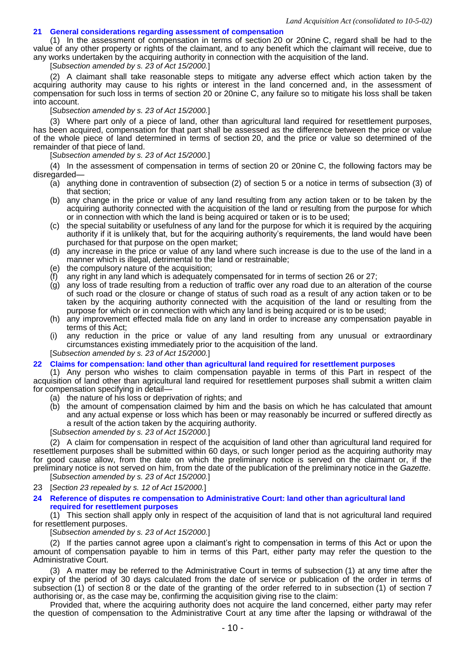#### **21 General considerations regarding assessment of compensation**

(1) In the assessment of compensation in terms of section 20 or 20nine C, regard shall be had to the value of any other property or rights of the claimant, and to any benefit which the claimant will receive, due to any works undertaken by the acquiring authority in connection with the acquisition of the land.

[*Subsection amended by s. 23 of Act 15/2000.*]

(2) A claimant shall take reasonable steps to mitigate any adverse effect which action taken by the acquiring authority may cause to his rights or interest in the land concerned and, in the assessment of compensation for such loss in terms of section 20 or 20nine C, any failure so to mitigate his loss shall be taken into account.

[*Subsection amended by s. 23 of Act 15/2000.*]

(3) Where part only of a piece of land, other than agricultural land required for resettlement purposes, has been acquired, compensation for that part shall be assessed as the difference between the price or value of the whole piece of land determined in terms of section 20, and the price or value so determined of the remainder of that piece of land.

[*Subsection amended by s. 23 of Act 15/2000.*]

(4) In the assessment of compensation in terms of section 20 or 20nine C, the following factors may be disregarded—

- (a) anything done in contravention of subsection (2) of section 5 or a notice in terms of subsection (3) of that section;
- (b) any change in the price or value of any land resulting from any action taken or to be taken by the acquiring authority connected with the acquisition of the land or resulting from the purpose for which or in connection with which the land is being acquired or taken or is to be used;
- (c) the special suitability or usefulness of any land for the purpose for which it is required by the acquiring authority if it is unlikely that, but for the acquiring authority's requirements, the land would have been purchased for that purpose on the open market;
- (d) any increase in the price or value of any land where such increase is due to the use of the land in a manner which is illegal, detrimental to the land or restrainable;
- (e) the compulsory nature of the acquisition;
- any right in any land which is adequately compensated for in terms of section 26 or 27;
- (g) any loss of trade resulting from a reduction of traffic over any road due to an alteration of the course of such road or the closure or change of status of such road as a result of any action taken or to be taken by the acquiring authority connected with the acquisition of the land or resulting from the purpose for which or in connection with which any land is being acquired or is to be used;
- (h) any improvement effected mala fide on any land in order to increase any compensation payable in terms of this Act;
- (i) any reduction in the price or value of any land resulting from any unusual or extraordinary circumstances existing immediately prior to the acquisition of the land.

[*Subsection amended by s. 23 of Act 15/2000.*]

#### **22 Claims for compensation: land other than agricultural land required for resettlement purposes**

(1) Any person who wishes to claim compensation payable in terms of this Part in respect of the acquisition of land other than agricultural land required for resettlement purposes shall submit a written claim for compensation specifying in detail—

- (a) the nature of his loss or deprivation of rights; and
- (b) the amount of compensation claimed by him and the basis on which he has calculated that amount and any actual expense or loss which has been or may reasonably be incurred or suffered directly as a result of the action taken by the acquiring authority.
- [*Subsection amended by s. 23 of Act 15/2000.*]

(2) A claim for compensation in respect of the acquisition of land other than agricultural land required for resettlement purposes shall be submitted within 60 days, or such longer period as the acquiring authority may for good cause allow, from the date on which the preliminary notice is served on the claimant or, if the preliminary notice is not served on him, from the date of the publication of the preliminary notice in the *Gazette*. [*Subsection amended by s. 23 of Act 15/2000.*]

- 23 [*Section 23 repealed by s. 12 of Act 15/2000.*]
- **24 Reference of disputes re compensation to Administrative Court: land other than agricultural land required for resettlement purposes**

(1) This section shall apply only in respect of the acquisition of land that is not agricultural land required for resettlement purposes.

[*Subsection amended by s. 23 of Act 15/2000.*]

(2) If the parties cannot agree upon a claimant's right to compensation in terms of this Act or upon the amount of compensation payable to him in terms of this Part, either party may refer the question to the Administrative Court.

(3) A matter may be referred to the Administrative Court in terms of subsection (1) at any time after the expiry of the period of 30 days calculated from the date of service or publication of the order in terms of subsection (1) of section 8 or the date of the granting of the order referred to in subsection (1) of section 7 authorising or, as the case may be, confirming the acquisition giving rise to the claim:

Provided that, where the acquiring authority does not acquire the land concerned, either party may refer the question of compensation to the Administrative Court at any time after the lapsing or withdrawal of the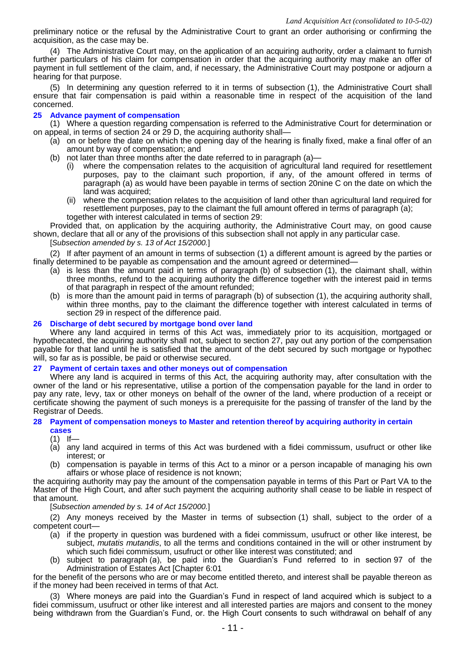preliminary notice or the refusal by the Administrative Court to grant an order authorising or confirming the acquisition, as the case may be.

(4) The Administrative Court may, on the application of an acquiring authority, order a claimant to furnish further particulars of his claim for compensation in order that the acquiring authority may make an offer of payment in full settlement of the claim, and, if necessary, the Administrative Court may postpone or adjourn a hearing for that purpose.

(5) In determining any question referred to it in terms of subsection (1), the Administrative Court shall ensure that fair compensation is paid within a reasonable time in respect of the acquisition of the land concerned.

# **25 Advance payment of compensation**

(1) Where a question regarding compensation is referred to the Administrative Court for determination or on appeal, in terms of section 24 or 29 D, the acquiring authority shall—

- (a) on or before the date on which the opening day of the hearing is finally fixed, make a final offer of an amount by way of compensation; and
- (b) not later than three months after the date referred to in paragraph (a)—
	- (i) where the compensation relates to the acquisition of agricultural land required for resettlement purposes, pay to the claimant such proportion, if any, of the amount offered in terms of paragraph (a) as would have been payable in terms of section 20nine C on the date on which the land was acquired;
	- (ii) where the compensation relates to the acquisition of land other than agricultural land required for resettlement purposes, pay to the claimant the full amount offered in terms of paragraph (a); together with interest calculated in terms of section 29:

Provided that, on application by the acquiring authority, the Administrative Court may, on good cause shown, declare that all or any of the provisions of this subsection shall not apply in any particular case.

[*Subsection amended by s. 13 of Act 15/2000.*]

(2) If after payment of an amount in terms of subsection (1) a different amount is agreed by the parties or finally determined to be payable as compensation and the amount agreed or determined—

- (a) is less than the amount paid in terms of paragraph (b) of subsection (1), the claimant shall, within three months, refund to the acquiring authority the difference together with the interest paid in terms of that paragraph in respect of the amount refunded;
- (b) is more than the amount paid in terms of paragraph (b) of subsection (1), the acquiring authority shall, within three months, pay to the claimant the difference together with interest calculated in terms of section 29 in respect of the difference paid.

### **26 Discharge of debt secured by mortgage bond over land**

Where any land acquired in terms of this Act was, immediately prior to its acquisition, mortgaged or hypothecated, the acquiring authority shall not, subject to section 27, pay out any portion of the compensation payable for that land until he is satisfied that the amount of the debt secured by such mortgage or hypothec will, so far as is possible, be paid or otherwise secured.

# **27 Payment of certain taxes and other moneys out of compensation**

Where any land is acquired in terms of this Act, the acquiring authority may, after consultation with the owner of the land or his representative, utilise a portion of the compensation payable for the land in order to pay any rate, levy, tax or other moneys on behalf of the owner of the land, where production of a receipt or certificate showing the payment of such moneys is a prerequisite for the passing of transfer of the land by the Registrar of Deeds.

#### **28 Payment of compensation moneys to Master and retention thereof by acquiring authority in certain cases**

 $(1)$  If-

- (a) any land acquired in terms of this Act was burdened with a fidei commissum, usufruct or other like interest; or
- (b) compensation is payable in terms of this Act to a minor or a person incapable of managing his own affairs or whose place of residence is not known;

the acquiring authority may pay the amount of the compensation payable in terms of this Part or Part VA to the Master of the High Court, and after such payment the acquiring authority shall cease to be liable in respect of that amount.

[*Subsection amended by s. 14 of Act 15/2000.*]

(2) Any moneys received by the Master in terms of subsection (1) shall, subject to the order of a competent court—

- (a) if the property in question was burdened with a fidei commissum, usufruct or other like interest, be subject, *mutatis mutandis*, to all the terms and conditions contained in the will or other instrument by which such fidei commissum, usufruct or other like interest was constituted; and
- (b) subject to paragraph (a), be paid into the Guardian's Fund referred to in section 97 of the Administration of Estates Act [Chapter 6:01

for the benefit of the persons who are or may become entitled thereto, and interest shall be payable thereon as if the money had been received in terms of that Act.

(3) Where moneys are paid into the Guardian's Fund in respect of land acquired which is subject to a fidei commissum, usufruct or other like interest and all interested parties are majors and consent to the money being withdrawn from the Guardian's Fund, or. the High Court consents to such withdrawal on behalf of any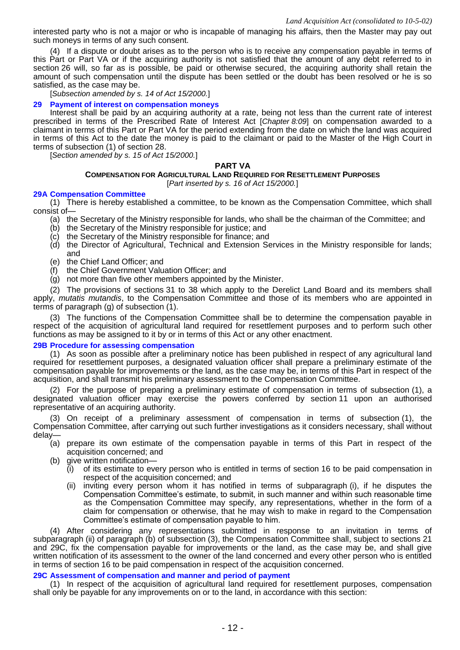interested party who is not a major or who is incapable of managing his affairs, then the Master may pay out such moneys in terms of any such consent.

(4) If a dispute or doubt arises as to the person who is to receive any compensation payable in terms of this Part or Part VA or if the acquiring authority is not satisfied that the amount of any debt referred to in section 26 will, so far as is possible, be paid or otherwise secured, the acquiring authority shall retain the amount of such compensation until the dispute has been settled or the doubt has been resolved or he is so satisfied, as the case may be.

[*Subsection amended by s. 14 of Act 15/2000.*]

#### **29 Payment of interest on compensation moneys**

Interest shall be paid by an acquiring authority at a rate, being not less than the current rate of interest prescribed in terms of the Prescribed Rate of Interest Act [*Chapter 8:09*] on compensation awarded to a claimant in terms of this Part or Part VA for the period extending from the date on which the land was acquired in terms of this Act to the date the money is paid to the claimant or paid to the Master of the High Court in terms of subsection (1) of section 28.

[*Section amended by s. 15 of Act 15/2000.*]

# **PART VA**

#### **COMPENSATION FOR AGRICULTURAL LAND REQUIRED FOR RESETTLEMENT PURPOSES**

[*Part inserted by s. 16 of Act 15/2000.*]

#### **29A Compensation Committee**

(1) There is hereby established a committee, to be known as the Compensation Committee, which shall consist of—

- (a) the Secretary of the Ministry responsible for lands, who shall be the chairman of the Committee; and
- (b) the Secretary of the Ministry responsible for justice; and
- (c) the Secretary of the Ministry responsible for finance; and
- (d) the Director of Agricultural, Technical and Extension Services in the Ministry responsible for lands; and
- (e) the Chief Land Officer; and
- (f) the Chief Government Valuation Officer; and
- (g) not more than five other members appointed by the Minister.

(2) The provisions of sections 31 to 38 which apply to the Derelict Land Board and its members shall apply, *mutatis mutandis*, to the Compensation Committee and those of its members who are appointed in terms of paragraph (g) of subsection (1).

(3) The functions of the Compensation Committee shall be to determine the compensation payable in respect of the acquisition of agricultural land required for resettlement purposes and to perform such other functions as may be assigned to it by or in terms of this Act or any other enactment.

#### **29B Procedure for assessing compensation**

(1) As soon as possible after a preliminary notice has been published in respect of any agricultural land required for resettlement purposes, a designated valuation officer shall prepare a preliminary estimate of the compensation payable for improvements or the land, as the case may be, in terms of this Part in respect of the acquisition, and shall transmit his preliminary assessment to the Compensation Committee.

(2) For the purpose of preparing a preliminary estimate of compensation in terms of subsection (1), a designated valuation officer may exercise the powers conferred by section 11 upon an authorised representative of an acquiring authority.

(3) On receipt of a preliminary assessment of compensation in terms of subsection (1), the Compensation Committee, after carrying out such further investigations as it considers necessary, shall without delay—

- (a) prepare its own estimate of the compensation payable in terms of this Part in respect of the acquisition concerned; and
- (b) give written notification—
	- $(i)$  of its estimate to every person who is entitled in terms of section 16 to be paid compensation in respect of the acquisition concerned; and
	- (ii) inviting every person whom it has notified in terms of subparagraph (i), if he disputes the Compensation Committee's estimate, to submit, in such manner and within such reasonable time as the Compensation Committee may specify, any representations, whether in the form of a claim for compensation or otherwise, that he may wish to make in regard to the Compensation Committee's estimate of compensation payable to him.

(4) After considering any representations submitted in response to an invitation in terms of subparagraph (ii) of paragraph (b) of subsection (3), the Compensation Committee shall, subject to sections 21 and 29C, fix the compensation payable for improvements or the land, as the case may be, and shall give written notification of its assessment to the owner of the land concerned and every other person who is entitled in terms of section 16 to be paid compensation in respect of the acquisition concerned.

#### **29C Assessment of compensation and manner and period of payment**

(1) In respect of the acquisition of agricultural land required for resettlement purposes, compensation shall only be payable for any improvements on or to the land, in accordance with this section: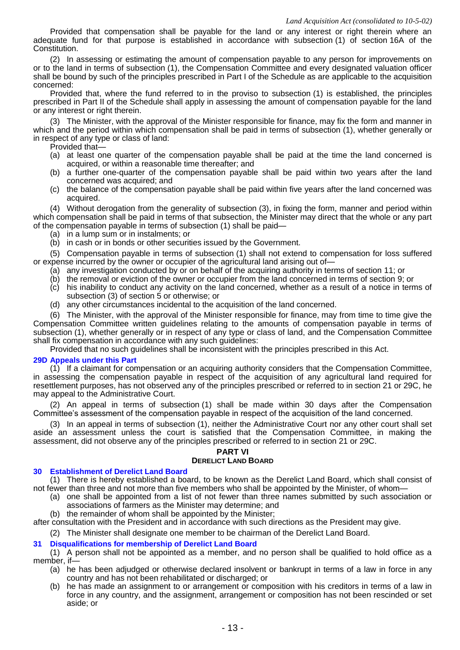Provided that compensation shall be payable for the land or any interest or right therein where an adequate fund for that purpose is established in accordance with subsection (1) of section 16A of the Constitution.

(2) In assessing or estimating the amount of compensation payable to any person for improvements on or to the land in terms of subsection (1), the Compensation Committee and every designated valuation officer shall be bound by such of the principles prescribed in Part I of the Schedule as are applicable to the acquisition concerned:

Provided that, where the fund referred to in the proviso to subsection (1) is established, the principles prescribed in Part II of the Schedule shall apply in assessing the amount of compensation payable for the land or any interest or right therein.

(3) The Minister, with the approval of the Minister responsible for finance, may fix the form and manner in which and the period within which compensation shall be paid in terms of subsection (1), whether generally or in respect of any type or class of land:

- Provided that—
- (a) at least one quarter of the compensation payable shall be paid at the time the land concerned is acquired, or within a reasonable time thereafter; and
- (b) a further one-quarter of the compensation payable shall be paid within two years after the land concerned was acquired; and
- (c) the balance of the compensation payable shall be paid within five years after the land concerned was acquired.

(4) Without derogation from the generality of subsection (3), in fixing the form, manner and period within which compensation shall be paid in terms of that subsection, the Minister may direct that the whole or any part of the compensation payable in terms of subsection (1) shall be paid—

- (a) in a lump sum or in instalments; or
- (b) in cash or in bonds or other securities issued by the Government.

(5) Compensation payable in terms of subsection (1) shall not extend to compensation for loss suffered or expense incurred by the owner or occupier of the agricultural land arising out of—

- (a) any investigation conducted by or on behalf of the acquiring authority in terms of section 11; or
- (b) the removal or eviction of the owner or occupier from the land concerned in terms of section 9; or
- (c) his inability to conduct any activity on the land concerned, whether as a result of a notice in terms of subsection (3) of section 5 or otherwise; or
- (d) any other circumstances incidental to the acquisition of the land concerned.

(6) The Minister, with the approval of the Minister responsible for finance, may from time to time give the Compensation Committee written guidelines relating to the amounts of compensation payable in terms of subsection (1), whether generally or in respect of any type or class of land, and the Compensation Committee shall fix compensation in accordance with any such guidelines:

Provided that no such guidelines shall be inconsistent with the principles prescribed in this Act.

#### **29D Appeals under this Part**

(1) If a claimant for compensation or an acquiring authority considers that the Compensation Committee, in assessing the compensation payable in respect of the acquisition of any agricultural land required for resettlement purposes, has not observed any of the principles prescribed or referred to in section 21 or 29C, he may appeal to the Administrative Court.

(2) An appeal in terms of subsection (1) shall be made within 30 days after the Compensation Committee's assessment of the compensation payable in respect of the acquisition of the land concerned.

(3) In an appeal in terms of subsection (1), neither the Administrative Court nor any other court shall set aside an assessment unless the court is satisfied that the Compensation Committee, in making the assessment, did not observe any of the principles prescribed or referred to in section 21 or 29C.

# **PART VI**

#### **DERELICT LAND BOARD**

#### **30 Establishment of Derelict Land Board**

(1) There is hereby established a board, to be known as the Derelict Land Board, which shall consist of not fewer than three and not more than five members who shall be appointed by the Minister, of whom—

- (a) one shall be appointed from a list of not fewer than three names submitted by such association or associations of farmers as the Minister may determine; and
	- (b) the remainder of whom shall be appointed by the Minister;

after consultation with the President and in accordance with such directions as the President may give.

(2) The Minister shall designate one member to be chairman of the Derelict Land Board.

# **31 Disqualifications for membership of Derelict Land Board**

(1) A person shall not be appointed as a member, and no person shall be qualified to hold office as a member, if—

- (a) he has been adjudged or otherwise declared insolvent or bankrupt in terms of a law in force in any country and has not been rehabilitated or discharged; or
- (b) he has made an assignment to or arrangement or composition with his creditors in terms of a law in force in any country, and the assignment, arrangement or composition has not been rescinded or set aside; or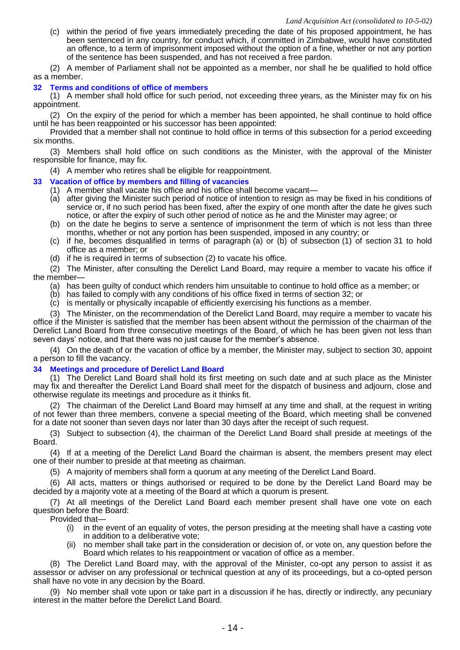(c) within the period of five years immediately preceding the date of his proposed appointment, he has been sentenced in any country, for conduct which, if committed in Zimbabwe, would have constituted an offence, to a term of imprisonment imposed without the option of a fine, whether or not any portion of the sentence has been suspended, and has not received a free pardon.

(2) A member of Parliament shall not be appointed as a member, nor shall he be qualified to hold office as a member.

# **32 Terms and conditions of office of members**

(1) A member shall hold office for such period, not exceeding three years, as the Minister may fix on his appointment.

(2) On the expiry of the period for which a member has been appointed, he shall continue to hold office until he has been reappointed or his successor has been appointed:

Provided that a member shall not continue to hold office in terms of this subsection for a period exceeding six months.

(3) Members shall hold office on such conditions as the Minister, with the approval of the Minister responsible for finance, may fix.

(4) A member who retires shall be eligible for reappointment.

# **33 Vacation of office by members and filling of vacancies**

- (1) A member shall vacate his office and his office shall become vacant—
- (a) after giving the Minister such period of notice of intention to resign as may be fixed in his conditions of service or, if no such period has been fixed, after the expiry of one month after the date he gives such notice, or after the expiry of such other period of notice as he and the Minister may agree; or
- (b) on the date he begins to serve a sentence of imprisonment the term of which is not less than three months, whether or not any portion has been suspended, imposed in any country; or
- (c) if he, becomes disqualified in terms of paragraph (a) or (b) of subsection (1) of section 31 to hold office as a member; or
- (d) if he is required in terms of subsection (2) to vacate his office.

(2) The Minister, after consulting the Derelict Land Board, may require a member to vacate his office if the member—

- (a) has been guilty of conduct which renders him unsuitable to continue to hold office as a member; or
- (b) has failed to comply with any conditions of his office fixed in terms of section 32; or
- (c) is mentally or physically incapable of efficiently exercising his functions as a member.

(3) The Minister, on the recommendation of the Derelict Land Board, may require a member to vacate his office if the Minister is satisfied that the member has been absent without the permission of the chairman of the Derelict Land Board from three consecutive meetings of the Board, of which he has been given not less than seven days' notice, and that there was no just cause for the member's absence.

(4) On the death of or the vacation of office by a member, the Minister may, subject to section 30, appoint a person to fill the vacancy.

#### **34 Meetings and procedure of Derelict Land Board**

(1) The Derelict Land Board shall hold its first meeting on such date and at such place as the Minister may fix and thereafter the Derelict Land Board shall meet for the dispatch of business and adjourn, close and otherwise regulate its meetings and procedure as it thinks fit.

(2) The chairman of the Derelict Land Board may himself at any time and shall, at the request in writing of not fewer than three members, convene a special meeting of the Board, which meeting shall be convened for a date not sooner than seven days nor later than 30 days after the receipt of such request.

(3) Subject to subsection (4), the chairman of the Derelict Land Board shall preside at meetings of the Board.

(4) If at a meeting of the Derelict Land Board the chairman is absent, the members present may elect one of their number to preside at that meeting as chairman.

(5) A majority of members shall form a quorum at any meeting of the Derelict Land Board.

(6) All acts, matters or things authorised or required to be done by the Derelict Land Board may be decided by a majority vote at a meeting of the Board at which a quorum is present.

(7) At all meetings of the Derelict Land Board each member present shall have one vote on each question before the Board:

Provided that—

- (i) in the event of an equality of votes, the person presiding at the meeting shall have a casting vote in addition to a deliberative vote;
- (ii) no member shall take part in the consideration or decision of, or vote on, any question before the Board which relates to his reappointment or vacation of office as a member.

(8) The Derelict Land Board may, with the approval of the Minister, co-opt any person to assist it as assessor or adviser on any professional or technical question at any of its proceedings, but a co-opted person shall have no vote in any decision by the Board.

(9) No member shall vote upon or take part in a discussion if he has, directly or indirectly, any pecuniary interest in the matter before the Derelict Land Board.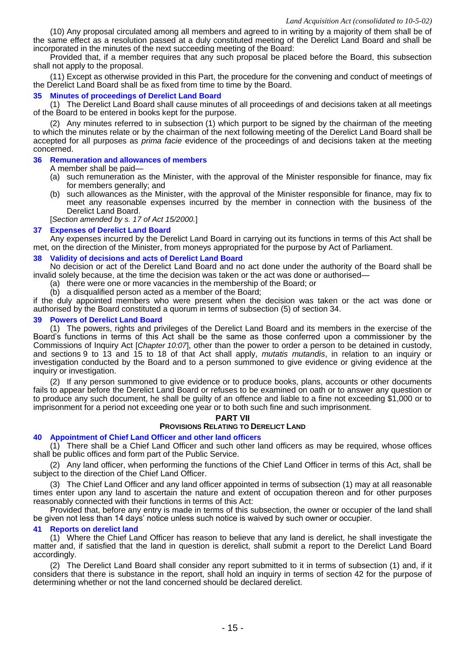(10) Any proposal circulated among all members and agreed to in writing by a majority of them shall be of the same effect as a resolution passed at a duly constituted meeting of the Derelict Land Board and shall be incorporated in the minutes of the next succeeding meeting of the Board:

Provided that, if a member requires that any such proposal be placed before the Board, this subsection shall not apply to the proposal.

(11) Except as otherwise provided in this Part, the procedure for the convening and conduct of meetings of the Derelict Land Board shall be as fixed from time to time by the Board.

#### **35 Minutes of proceedings of Derelict Land Board**

(1) The Derelict Land Board shall cause minutes of all proceedings of and decisions taken at all meetings of the Board to be entered in books kept for the purpose.

(2) Any minutes referred to in subsection (1) which purport to be signed by the chairman of the meeting to which the minutes relate or by the chairman of the next following meeting of the Derelict Land Board shall be accepted for all purposes as *prima facie* evidence of the proceedings of and decisions taken at the meeting concerned.

#### **36 Remuneration and allowances of members**

A member shall be paid—

- (a) such remuneration as the Minister, with the approval of the Minister responsible for finance, may fix for members generally; and
- (b) such allowances as the Minister, with the approval of the Minister responsible for finance, may fix to meet any reasonable expenses incurred by the member in connection with the business of the Derelict Land Board.

[*Section amended by s. 17 of Act 15/2000.*]

#### **37 Expenses of Derelict Land Board**

Any expenses incurred by the Derelict Land Board in carrying out its functions in terms of this Act shall be met, on the direction of the Minister, from moneys appropriated for the purpose by Act of Parliament.

#### **38 Validity of decisions and acts of Derelict Land Board**

No decision or act of the Derelict Land Board and no act done under the authority of the Board shall be invalid solely because, at the time the decision was taken or the act was done or authorised—

- (a) there were one or more vacancies in the membership of the Board; or
- (b) a disqualified person acted as a member of the Board;

if the duly appointed members who were present when the decision was taken or the act was done or authorised by the Board constituted a quorum in terms of subsection (5) of section 34.

#### **39 Powers of Derelict Land Board**

(1) The powers, rights and privileges of the Derelict Land Board and its members in the exercise of the Board's functions in terms of this Act shall be the same as those conferred upon a commissioner by the Commissions of Inquiry Act [*Chapter 10:07*], other than the power to order a person to be detained in custody, and sections 9 to 13 and 15 to 18 of that Act shall apply, *mutatis mutandis*, in relation to an inquiry or investigation conducted by the Board and to a person summoned to give evidence or giving evidence at the inquiry or investigation.

(2) If any person summoned to give evidence or to produce books, plans, accounts or other documents fails to appear before the Derelict Land Board or refuses to be examined on oath or to answer any question or to produce any such document, he shall be guilty of an offence and liable to a fine not exceeding \$1,000 or to imprisonment for a period not exceeding one year or to both such fine and such imprisonment.

#### **PART VII**

#### **PROVISIONS RELATING TO DERELICT LAND**

#### **40 Appointment of Chief Land Officer and other land officers**

(1) There shall be a Chief Land Officer and such other land officers as may be required, whose offices shall be public offices and form part of the Public Service.

(2) Any land officer, when performing the functions of the Chief Land Officer in terms of this Act, shall be subject to the direction of the Chief Land Officer.

(3) The Chief Land Officer and any land officer appointed in terms of subsection (1) may at all reasonable times enter upon any land to ascertain the nature and extent of occupation thereon and for other purposes reasonably connected with their functions in terms of this Act:

Provided that, before any entry is made in terms of this subsection, the owner or occupier of the land shall be given not less than 14 days' notice unless such notice is waived by such owner or occupier.

#### **41 Reports on derelict land**

(1) Where the Chief Land Officer has reason to believe that any land is derelict, he shall investigate the matter and, if satisfied that the land in question is derelict, shall submit a report to the Derelict Land Board accordingly.

(2) The Derelict Land Board shall consider any report submitted to it in terms of subsection (1) and, if it considers that there is substance in the report, shall hold an inquiry in terms of section 42 for the purpose of determining whether or not the land concerned should be declared derelict.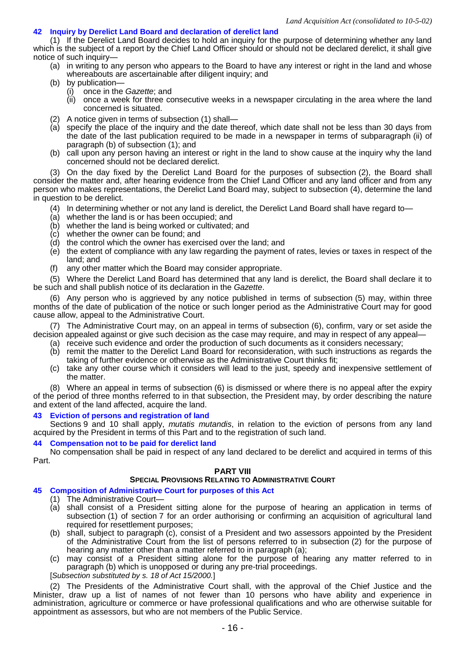# **42 Inquiry by Derelict Land Board and declaration of derelict land**

(1) If the Derelict Land Board decides to hold an inquiry for the purpose of determining whether any land which is the subject of a report by the Chief Land Officer should or should not be declared derelict, it shall give notice of such inquiry—

- (a) in writing to any person who appears to the Board to have any interest or right in the land and whose whereabouts are ascertainable after diligent inquiry; and
- (b) by publication—
	- (i) once in the *Gazette*; and
	- once a week for three consecutive weeks in a newspaper circulating in the area where the land concerned is situated.
- (2) A notice given in terms of subsection (1) shall—
- (a) specify the place of the inquiry and the date thereof, which date shall not be less than 30 days from the date of the last publication required to be made in a newspaper in terms of subparagraph (ii) of paragraph (b) of subsection (1); and
- (b) call upon any person having an interest or right in the land to show cause at the inquiry why the land concerned should not be declared derelict.

(3) On the day fixed by the Derelict Land Board for the purposes of subsection (2), the Board shall consider the matter and, after hearing evidence from the Chief Land Officer and any land officer and from any person who makes representations, the Derelict Land Board may, subject to subsection (4), determine the land in question to be derelict.

- (4) In determining whether or not any land is derelict, the Derelict Land Board shall have regard to—
- (a) whether the land is or has been occupied; and
- (b) whether the land is being worked or cultivated; and
- (c) whether the owner can be found; and
- (d) the control which the owner has exercised over the land; and
- (e) the extent of compliance with any law regarding the payment of rates, levies or taxes in respect of the land; and
- (f) any other matter which the Board may consider appropriate.

(5) Where the Derelict Land Board has determined that any land is derelict, the Board shall declare it to be such and shall publish notice of its declaration in the *Gazette*.

(6) Any person who is aggrieved by any notice published in terms of subsection (5) may, within three months of the date of publication of the notice or such longer period as the Administrative Court may for good cause allow, appeal to the Administrative Court.

(7) The Administrative Court may, on an appeal in terms of subsection (6), confirm, vary or set aside the decision appealed against or give such decision as the case may require, and may in respect of any appeal—

- (a) receive such evidence and order the production of such documents as it considers necessary;
- (b) remit the matter to the Derelict Land Board for reconsideration, with such instructions as regards the taking of further evidence or otherwise as the Administrative Court thinks fit;
- (c) take any other course which it considers will lead to the just, speedy and inexpensive settlement of the matter.

(8) Where an appeal in terms of subsection (6) is dismissed or where there is no appeal after the expiry of the period of three months referred to in that subsection, the President may, by order describing the nature and extent of the land affected, acquire the land.

#### **43 Eviction of persons and registration of land**

Sections 9 and 10 shall apply, *mutatis mutandis*, in relation to the eviction of persons from any land acquired by the President in terms of this Part and to the registration of such land.

#### **44 Compensation not to be paid for derelict land**

No compensation shall be paid in respect of any land declared to be derelict and acquired in terms of this Part.

# **PART VIII**

# **SPECIAL PROVISIONS RELATING TO ADMINISTRATIVE COURT**

# **45 Composition of Administrative Court for purposes of this Act**

- (1) The Administrative Court—
- (a) shall consist of a President sitting alone for the purpose of hearing an application in terms of subsection (1) of section 7 for an order authorising or confirming an acquisition of agricultural land required for resettlement purposes;
- (b) shall, subject to paragraph (c), consist of a President and two assessors appointed by the President of the Administrative Court from the list of persons referred to in subsection (2) for the purpose of hearing any matter other than a matter referred to in paragraph (a);
- (c) may consist of a President sitting alone for the purpose of hearing any matter referred to in paragraph (b) which is unopposed or during any pre-trial proceedings.

#### [*Subsection substituted by s. 18 of Act 15/2000.*]

(2) The Presidents of the Administrative Court shall, with the approval of the Chief Justice and the Minister, draw up a list of names of not fewer than 10 persons who have ability and experience in administration, agriculture or commerce or have professional qualifications and who are otherwise suitable for appointment as assessors, but who are not members of the Public Service.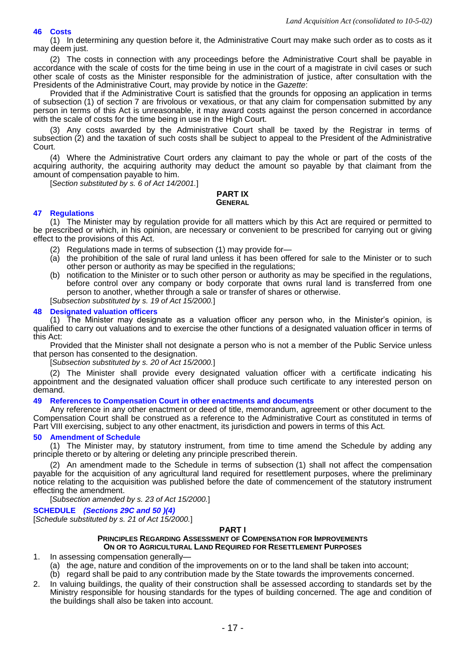# **46 Costs**

(1) In determining any question before it, the Administrative Court may make such order as to costs as it may deem just.

(2) The costs in connection with any proceedings before the Administrative Court shall be payable in accordance with the scale of costs for the time being in use in the court of a magistrate in civil cases or such other scale of costs as the Minister responsible for the administration of justice, after consultation with the Presidents of the Administrative Court, may provide by notice in the *Gazette*:

Provided that if the Administrative Court is satisfied that the grounds for opposing an application in terms of subsection (1) of section 7 are frivolous or vexatious, or that any claim for compensation submitted by any person in terms of this Act is unreasonable, it may award costs against the person concerned in accordance with the scale of costs for the time being in use in the High Court.

(3) Any costs awarded by the Administrative Court shall be taxed by the Registrar in terms of subsection (2) and the taxation of such costs shall be subject to appeal to the President of the Administrative Court.

(4) Where the Administrative Court orders any claimant to pay the whole or part of the costs of the acquiring authority, the acquiring authority may deduct the amount so payable by that claimant from the amount of compensation payable to him.

[*Section substituted by s. 6 of Act 14/2001.*]

#### **PART IX GENERAL**

# **47 Regulations**

(1) The Minister may by regulation provide for all matters which by this Act are required or permitted to be prescribed or which, in his opinion, are necessary or convenient to be prescribed for carrying out or giving effect to the provisions of this Act.

- (2) Regulations made in terms of subsection (1) may provide for—
- (a) the prohibition of the sale of rural land unless it has been offered for sale to the Minister or to such other person or authority as may be specified in the regulations;
- (b) notification to the Minister or to such other person or authority as may be specified in the regulations, before control over any company or body corporate that owns rural land is transferred from one person to another, whether through a sale or transfer of shares or otherwise.

[*Subsection substituted by s. 19 of Act 15/2000.*]

#### **48 Designated valuation officers**

(1) The Minister may designate as a valuation officer any person who, in the Minister's opinion, is qualified to carry out valuations and to exercise the other functions of a designated valuation officer in terms of this Act:

Provided that the Minister shall not designate a person who is not a member of the Public Service unless that person has consented to the designation.

[*Subsection substituted by s. 20 of Act 15/2000.*]

(2) The Minister shall provide every designated valuation officer with a certificate indicating his appointment and the designated valuation officer shall produce such certificate to any interested person on demand.

# **49 References to Compensation Court in other enactments and documents**

Any reference in any other enactment or deed of title, memorandum, agreement or other document to the Compensation Court shall be construed as a reference to the Administrative Court as constituted in terms of Part VIII exercising, subject to any other enactment, its jurisdiction and powers in terms of this Act.

#### **50 Amendment of Schedule**

(1) The Minister may, by statutory instrument, from time to time amend the Schedule by adding any principle thereto or by altering or deleting any principle prescribed therein.

(2) An amendment made to the Schedule in terms of subsection (1) shall not affect the compensation payable for the acquisition of any agricultural land required for resettlement purposes, where the preliminary notice relating to the acquisition was published before the date of commencement of the statutory instrument effecting the amendment.

[*Subsection amended by s. 23 of Act 15/2000.*]

# **SCHEDULE** *(Sections 29C and 50 )(4)*

[*Schedule substituted by s. 21 of Act 15/2000.*]

#### **PART I**

#### **PRINCIPLES REGARDING ASSESSMENT OF COMPENSATION FOR IMPROVEMENTS ON OR TO AGRICULTURAL LAND REQUIRED FOR RESETTLEMENT PURPOSES**

- 1. In assessing compensation generally—
	- (a) the age, nature and condition of the improvements on or to the land shall be taken into account;
	- (b) regard shall be paid to any contribution made by the State towards the improvements concerned.
- 2. In valuing buildings, the quality of their construction shall be assessed according to standards set by the Ministry responsible for housing standards for the types of building concerned. The age and condition of the buildings shall also be taken into account.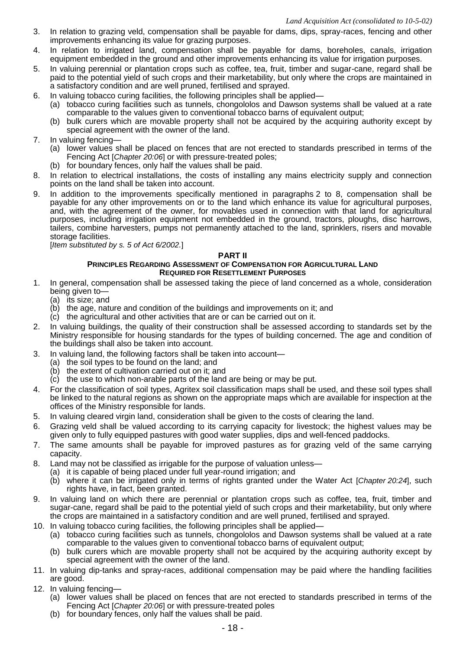- 3. In relation to grazing veld, compensation shall be payable for dams, dips, spray-races, fencing and other improvements enhancing its value for grazing purposes.
- 4. In relation to irrigated land, compensation shall be payable for dams, boreholes, canals, irrigation equipment embedded in the ground and other improvements enhancing its value for irrigation purposes.
- 5. In valuing perennial or plantation crops such as coffee, tea, fruit, timber and sugar-cane, regard shall be paid to the potential yield of such crops and their marketability, but only where the crops are maintained in a satisfactory condition and are well pruned, fertilised and sprayed.
- 6. In valuing tobacco curing facilities, the following principles shall be applied—
	- (a) tobacco curing facilities such as tunnels, chongololos and Dawson systems shall be valued at a rate comparable to the values given to conventional tobacco barns of equivalent output;
	- (b) bulk curers which are movable property shall not be acquired by the acquiring authority except by special agreement with the owner of the land.
- 7. In valuing fencing—
	- (a) lower values shall be placed on fences that are not erected to standards prescribed in terms of the Fencing Act [*Chapter 20:06*] or with pressure-treated poles;
	- (b) for boundary fences, only half the values shall be paid.
- 8. In relation to electrical installations, the costs of installing any mains electricity supply and connection points on the land shall be taken into account.
- 9. In addition to the improvements specifically mentioned in paragraphs 2 to 8, compensation shall be payable for any other improvements on or to the land which enhance its value for agricultural purposes, and, with the agreement of the owner, for movables used in connection with that land for agricultural purposes, including irrigation equipment not embedded in the ground, tractors, ploughs, disc harrows, tailers, combine harvesters, pumps not permanently attached to the land, sprinklers, risers and movable storage facilities.

[*Item substituted by s. 5 of Act 6/2002.*]

# **PART II**

# **PRINCIPLES REGARDING ASSESSMENT OF COMPENSATION FOR AGRICULTURAL LAND REQUIRED FOR RESETTLEMENT PURPOSES**

- 1. In general, compensation shall be assessed taking the piece of land concerned as a whole, consideration being given to—
	- (a) its size; and
	- (b) the age, nature and condition of the buildings and improvements on it; and
	- (c) the agricultural and other activities that are or can be carried out on it.
- 2. In valuing buildings, the quality of their construction shall be assessed according to standards set by the Ministry responsible for housing standards for the types of building concerned. The age and condition of the buildings shall also be taken into account.
- 3. In valuing land, the following factors shall be taken into account—
	- (a) the soil types to be found on the land; and
	- (b) the extent of cultivation carried out on it; and
	- (c) the use to which non-arable parts of the land are being or may be put.
- 4. For the classification of soil types, Agritex soil classification maps shall be used, and these soil types shall be linked to the natural regions as shown on the appropriate maps which are available for inspection at the offices of the Ministry responsible for lands.
- 5. In valuing cleared virgin land, consideration shall be given to the costs of clearing the land.
- 6. Grazing veld shall be valued according to its carrying capacity for livestock; the highest values may be given only to fully equipped pastures with good water supplies, dips and well-fenced paddocks.
- 7. The same amounts shall be payable for improved pastures as for grazing veld of the same carrying capacity.
- 8. Land may not be classified as irrigable for the purpose of valuation unless—
	- (a) it is capable of being placed under full year-round irrigation; and
	- (b) where it can be irrigated only in terms of rights granted under the Water Act [*Chapter 20:24*], such rights have, in fact, been granted.
- 9. In valuing land on which there are perennial or plantation crops such as coffee, tea, fruit, timber and sugar-cane, regard shall be paid to the potential yield of such crops and their marketability, but only where the crops are maintained in a satisfactory condition and are well pruned, fertilised and sprayed.
- 10. In valuing tobacco curing facilities, the following principles shall be applied—
	- (a) tobacco curing facilities such as tunnels, chongololos and Dawson systems shall be valued at a rate comparable to the values given to conventional tobacco barns of equivalent output;
		- (b) bulk curers which are movable property shall not be acquired by the acquiring authority except by special agreement with the owner of the land.
- 11. In valuing dip-tanks and spray-races, additional compensation may be paid where the handling facilities are good.
- 12. In valuing fencing—
	- (a) lower values shall be placed on fences that are not erected to standards prescribed in terms of the Fencing Act [*Chapter 20:06*] or with pressure-treated poles
	- (b) for boundary fences, only half the values shall be paid.